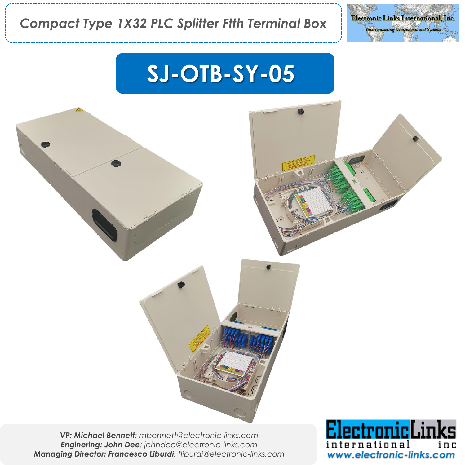

# **SJ-OTB-SY-05**

*VP: Michael Bennett: mbennett@electronic-links.com Enginering: John Dee: johndee@electronic-links.com Managing Director: Francesco Liburdi: fliburdi@electronic-links.com*

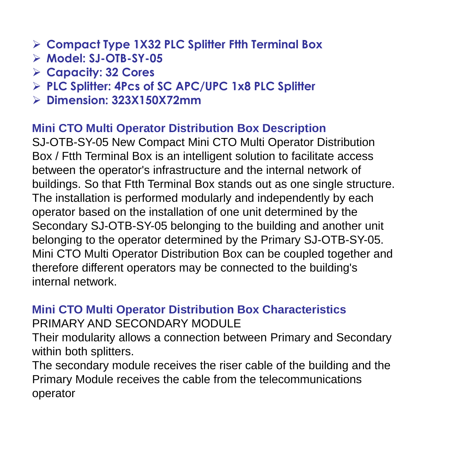- ➢ **Compact Type 1X32 PLC Splitter Ftth Terminal Box**
- ➢ **Model: SJ-OTB-SY-05**
- ➢ **Capacity: 32 Cores**
- ➢ **PLC Splitter: 4Pcs of SC APC/UPC 1x8 PLC Splitter**
- ➢ **Dimension: 323X150X72mm**

### **Mini CTO Multi Operator Distribution Box Description**

SJ-OTB-SY-05 New Compact Mini CTO Multi Operator Distribution Box / Ftth Terminal Box is an intelligent solution to facilitate access between the operator's infrastructure and the internal network of buildings. So that Ftth Terminal Box stands out as one single structure. The installation is performed modularly and independently by each operator based on the installation of one unit determined by the Secondary SJ-OTB-SY-05 belonging to the building and another unit belonging to the operator determined by the Primary SJ-OTB-SY-05. Mini CTO Multi Operator Distribution Box can be coupled together and therefore different operators may be connected to the building's internal network.

## **Mini CTO Multi Operator Distribution Box Characteristics** PRIMARY AND SECONDARY MODULE

Their modularity allows a connection between Primary and Secondary within both splitters.

The secondary module receives the riser cable of the building and the Primary Module receives the cable from the telecommunications operator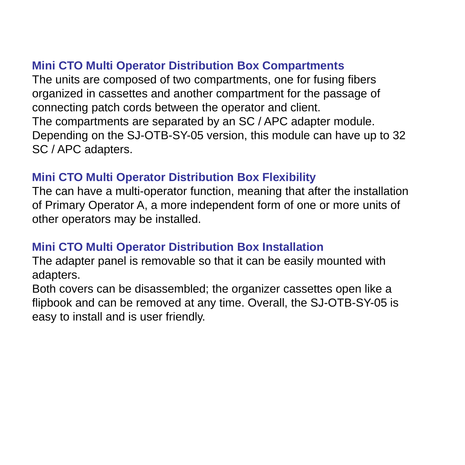## **Mini CTO Multi Operator Distribution Box Compartments**

The units are composed of two compartments, one for fusing fibers organized in cassettes and another compartment for the passage of connecting patch cords between the operator and client. The compartments are separated by an SC / APC adapter module. Depending on the SJ-OTB-SY-05 version, this module can have up to 32 SC / APC adapters.

#### **Mini CTO Multi Operator Distribution Box Flexibility**

The can have a multi-operator function, meaning that after the installation of Primary Operator A, a more independent form of one or more units of other operators may be installed.

## **Mini CTO Multi Operator Distribution Box Installation**

The adapter panel is removable so that it can be easily mounted with adapters.

Both covers can be disassembled; the organizer cassettes open like a flipbook and can be removed at any time. Overall, the SJ-OTB-SY-05 is easy to install and is user friendly.